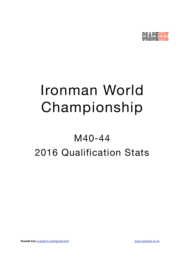

# Ironman World Championship

## M40-44 2016 Qualification Stats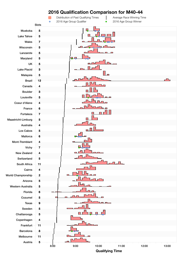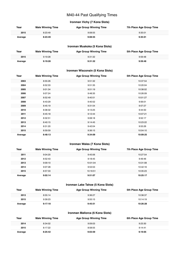## M40-44 Past Qualifying Times

## **Ironman Vichy (7 Kona Slots)**

| Year    | <b>Male Winning Time</b> | <b>Age Group Winning Time</b> | 7th Place Age Group Time |
|---------|--------------------------|-------------------------------|--------------------------|
| 2015    | 8:23:49                  | 9:08:55                       | 9:35:01                  |
| Average | 8:23:49                  | 9:08:55                       | 9:35:01                  |

#### **Ironman Muskoka (5 Kona Slots)**

| Year    | <b>Male Winning Time</b> | <b>Age Group Winning Time</b> | 5th Place Age Group Time |
|---------|--------------------------|-------------------------------|--------------------------|
| 2015    | 9:19:28                  | 9:31:32                       | 9:59:48                  |
| Average | 9:19:28                  | 9:31:32                       | 9:59:48                  |

#### **Ironman Wisconsin (5 Kona Slots)**

| Year    | <b>Male Winning Time</b> | <b>Age Group Winning Time</b> | 5th Place Age Group Time |
|---------|--------------------------|-------------------------------|--------------------------|
| 2003    | 8:55:26                  | 9:51:32                       | 10:37:54                 |
| 2004    | 8:52:33                  | 9:51:35                       | 10:20:04                 |
| 2005    | 9:01:34                  | 9:51:19                       | 10:38:02                 |
| 2006    | 9:07:24                  | 9:48:35                       | 10:26:09                 |
| 2007    | 8:52:49                  | 9:40:51                       | 10:01:27                 |
| 2008    | 8:43:29                  | 9:40:52                       | 9:56:01                  |
| 2009    | 8:45:19                  | 9:31:54                       | 9:57:27                  |
| 2010    | 8:38:32                  | 9:13:25                       | 9:44:50                  |
| 2011    | 8:45:18                  | 9:12:44                       | 10:07:21                 |
| 2012    | 8:32:51                  | 9:08:18                       | 9:52:17                  |
| 2013    | 8:40:15                  | 9:14:45                       | 10:23:22                 |
| 2014    | 8:31:20                  | 9:42:04                       | 9:53:26                  |
| 2015    | 8:59:59                  | 9:36:15                       | 10:04:10                 |
| Average | 8:48:13                  | 9:34:09                       | 10:09:25                 |

## **Ironman Wales (7 Kona Slots)**

| Year    | <b>Male Winning Time</b> | <b>Age Group Winning Time</b> | 7th Place Age Group Time |
|---------|--------------------------|-------------------------------|--------------------------|
| 2011    | 9:04:20                  | 9:45:06                       | 10:27:54                 |
| 2012    | 8:52:43                  | 9:18:45                       | 9:49:46                  |
| 2013    | 9:09:10                  | 10:01:04                      | 10:31:08                 |
| 2014    | 9:07:28                  | 9:53:53                       | 10:42:16                 |
| 2015    | 8:57:33                  | 10:16:51                      | 10:35:23                 |
| Average | 9:02:14                  | 9:51:07                       | 10:25:17                 |

#### **Ironman Lake Tahoe (5 Kona Slots)**

| Year    | <b>Male Winning Time</b> | <b>Age Group Winning Time</b> | 5th Place Age Group Time |
|---------|--------------------------|-------------------------------|--------------------------|
| 2013    | 8:55:14                  | 9:36:27                       | 10:38:37                 |
| 2015    | 9:39:23                  | 9:55:15                       | 10:14:19                 |
| Average | 9:17:18                  | 9:45:51                       | 10:26:28                 |

#### **Ironman Mallorca (6 Kona Slots)**

| Year    | <b>Male Winning Time</b> | <b>Age Group Winning Time</b> | 6th Place Age Group Time |
|---------|--------------------------|-------------------------------|--------------------------|
| 2014    | 8:34:02                  | 9:09:03                       | 9:23:30                  |
| 2015    | 8:17:22                  | 8:58:55                       | 9:14:41                  |
| Average | 8:25:42                  | 9:03:59                       | 9:19:05                  |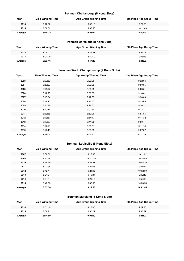#### **Ironman Chattanooga (5 Kona Slots)**

| Year    | <b>Male Winning Time</b> | <b>Age Group Winning Time</b> | 5th Place Age Group Time |
|---------|--------------------------|-------------------------------|--------------------------|
| 2014    | 8:12:32                  | 9:08:18                       | 9:27:59                  |
| 2015    | 8:08:32                  | 9:38:50                       | 10:12:43                 |
| Average | 8:10:32                  | 9:23:34                       | 9:50:21                  |

## **Ironman Barcelona (8 Kona Slots)**

| Year    | <b>Male Winning Time</b> | <b>Age Group Winning Time</b> | 8th Place Age Group Time |
|---------|--------------------------|-------------------------------|--------------------------|
| 2014    | 8:04:13                  | 8:45:21                       | 8:59:03                  |
| 2015    | 8:02:20                  | 8:50:10                       | 9:03:53                  |
| Average | 8:03:16                  | 8:47:45                       | 9:01:28                  |

## **Ironman World Championship (2 Kona Slots)**

| Year    | <b>Male Winning Time</b> | <b>Age Group Winning Time</b> | 2nd Place Age Group Time |
|---------|--------------------------|-------------------------------|--------------------------|
| 2003    | 8:59:36                  | 9:23:00                       | 9:32:06                  |
| 2004    | 8:33:29                  | 9:37:39                       | 9:50:35                  |
| 2005    | 8:14:17                  | 9:02:25                       | 9:03:51                  |
| 2006    | 8:11:56                  | 8:58:55                       | 9:18:41                  |
| 2007    | 8:15:34                  | 9:12:35                       | 9:30:08                  |
| 2008    | 8:17:45                  | 9:14:37                       | 9:23:06                  |
| 2009    | 8:20:21                  | 9:22:33                       | 9:26:31                  |
| 2010    | 8:10:37                  | 9:07:50                       | 9:13:17                  |
| 2011    | 8:03:56                  | 8:53:26                       | 8:54:55                  |
| 2012    | 8:18:37                  | 8:54:17                       | 9:14:32                  |
| 2013    | 8:12:29                  | 8:41:22                       | 9:00:41                  |
| 2014    | 8:14:18                  | 9:09:51                       | 9:11:16                  |
| 2015    | 8:14:40                  | 9:03:53                       | 9:07:37                  |
| Average | 8:19:02                  | 9:07:52                       | 9:17:28                  |

## **Ironman Louisville (5 Kona Slots)**

| Year    | <b>Male Winning Time</b> | <b>Age Group Winning Time</b> | 5th Place Age Group Time |
|---------|--------------------------|-------------------------------|--------------------------|
| 2007    | 8:38:39                  | 9:18:33                       | 10:11:22                 |
| 2008    | 8:33:58                  | 10:01:29                      | 10:28:55                 |
| 2010    | 8:29:59                  | 9:32:51                       | 10:08:26                 |
| 2011    | 8:27:36                  | 9:29:05                       | 9:51:54                  |
| 2012    | 8:42:44                  | 9:21:45                       | 10:02:39                 |
| 2013    | 8:21:34                  | 9:19:34                       | 9:42:48                  |
| 2014    | 8:24:44                  | 9:20:15                       | 9:52:38                  |
| 2015    | 8:48:53                  | 9:32:55                       | 10:03:53                 |
| Average | 8:33:30                  | 9:29:33                       | 10:02:49                 |

## **Ironman Maryland (5 Kona Slots)**

| Year    | <b>Male Winning Time</b> | <b>Age Group Winning Time</b> | 5th Place Age Group Time |
|---------|--------------------------|-------------------------------|--------------------------|
| 2014    | 8:51:19                  | 9:18:00                       | 9:29:25                  |
| 2015    | 8:38:21                  | 8:50:21                       | 9:33:29                  |
| Average | 8:44:50                  | 9:04:10                       | 9:31:27                  |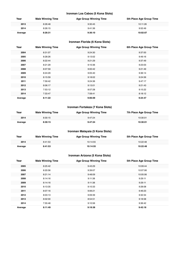#### **Ironman Los Cabos (5 Kona Slots)**

| Year    | <b>Male Winning Time</b> | <b>Age Group Winning Time</b> | 5th Place Age Group Time |
|---------|--------------------------|-------------------------------|--------------------------|
| 2013    | 8:26:48                  | 9:30:45                       | 10:11:26                 |
| 2014    | 8:26:15                  | 9:41:36                       | 9:52:49                  |
| Average | 8:26:31                  | 9:36:10                       | 10:02:07                 |

## **Ironman Florida (6 Kona Slots)**

| Year    | <b>Male Winning Time</b> | <b>Age Group Winning Time</b> | 6th Place Age Group Time |
|---------|--------------------------|-------------------------------|--------------------------|
| 2004    | 8:31:07                  | 9:24:30                       | 9:37:00                  |
| 2005    | 8:28:26                  | 9:13:02                       | 9:49:16                  |
| 2006    | 8:22:44                  | 9:21:29                       | 9:37:49                  |
| 2007    | 8:21:29                  | 9:10:36                       | 9:23:03                  |
| 2008    | 8:07:59                  | 9:00:42                       | 9:21:49                  |
| 2009    | 8:24:29                  | 9:05:40                       | 9:36:14                  |
| 2010    | 8:15:59                  | 9:18:02                       | 9:24:56                  |
| 2011    | 7:59:42                  | 9:24:36                       | 9:47:17                  |
| 2012    | 8:06:17                  | 9:13:01                       | 9:21:43                  |
| 2013    | 7:53:12                  | 8:57:28                       | 9:15:22                  |
| 2014    | 7:33:47                  | 7:58:41                       | 8:18:12                  |
| Average | 8:11:22                  | 9:06:09                       | 9:24:47                  |

## **Ironman Fortaleza (7 Kona Slots)**

| Year    | <b>Male Winning Time</b> | <b>Age Group Winning Time</b> | 7th Place Age Group Time |
|---------|--------------------------|-------------------------------|--------------------------|
| 2014    | 8:30:15                  | 9:47:24                       | 10:30:01                 |
| Average | 8:30:15                  | 9:47:24                       | 10:30:01                 |

#### **Ironman Malaysia (5 Kona Slots)**

| Year    | <b>Male Winning Time</b> | <b>Age Group Winning Time</b> | 5th Place Age Group Time |
|---------|--------------------------|-------------------------------|--------------------------|
| 2014    | 8:41:53                  | 10:14:55                      | 10:22:48                 |
| Average | 8:41:53                  | 10:14:55                      | 10:22:48                 |

## **Ironman Arizona (5 Kona Slots)**

| Year    | <b>Male Winning Time</b> | <b>Age Group Winning Time</b> | 5th Place Age Group Time |
|---------|--------------------------|-------------------------------|--------------------------|
| 2005    | 8:25:42                  | 9:43:29                       | 10:09:44                 |
| 2006    | 8:20:56                  | 9:39:07                       | 10:07:06                 |
| 2007    | 8:21:14                  | 9:48:09                       | 10:05:06                 |
| 2008    | 8:14:16                  | 9:11:38                       | 9:29:11                  |
| 2009    | 8:14:16                  | 9:11:38                       | 9:29:11                  |
| 2010    | 8:13:35                  | 9:10:33                       | 9:28:08                  |
| 2011    | 8:07:16                  | 9:06:21                       | 9:46:23                  |
| 2012    | 8:03:13                  | 9:09:39                       | 9:32:34                  |
| 2013    | 8:02:00                  | 8:54:51                       | 9:18:58                  |
| 2014    | 7:55:48                  | 9:10:56                       | 9:36:42                  |
| Average | 8:11:49                  | 9:18:38                       | 9:42:18                  |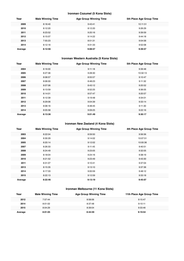#### **Ironman Cozumel (5 Kona Slots)**

| Year    | <b>Male Winning Time</b> | <b>Age Group Winning Time</b> | 5th Place Age Group Time |
|---------|--------------------------|-------------------------------|--------------------------|
| 2009    | 8:18:40                  | 9:43:41                       | 10:11:51                 |
| 2010    | 8:12:20                  | 8:12:20                       | 9:26:29                  |
| 2011    | 8:23:52                  | 9:20:16                       | 9:39:59                  |
| 2012    | 8:15:07                  | 9:14:22                       | 9:44:18                  |
| 2013    | 7:55:23                  | 8:51:31                       | 9:04:58                  |
| 2014    | 8:12:16                  | 9:31:33                       | 9:52:08                  |
| Average | 8:12:56                  | 9:08:57                       | 9:39:57                  |

## **Ironman Western Australia (5 Kona Slots)**

| Year    | <b>Male Winning Time</b> | <b>Age Group Winning Time</b> | 5th Place Age Group Time |
|---------|--------------------------|-------------------------------|--------------------------|
| 2004    | 8:16:00                  | 9:11:18                       | 9:39:48                  |
| 2005    | 8:27:36                  | 9:28:30                       | 10:32:13                 |
| 2006    | 8:08:57                  | 8:55:57                       | 9:10:47                  |
| 2007    | 8:06:00                  | 8:48:23                       | 9:11:32                  |
| 2008    | 8:07:06                  | 8:43:12                       | 9:20:52                  |
| 2009    | 8:13:59                  | 8:52:25                       | 9:36:05                  |
| 2010    | 8:14:01                  | 8:57:47                       | 9:20:57                  |
| 2011    | 8:12:39                  | 9:19:48                       | 9:34:01                  |
| 2012    | 8:29:06                  | 9:04:39                       | 9:33:14                  |
| 2013    | 8:08:16                  | 8:48:45                       | 9:11:30                  |
| 2014    | 8:05:58                  | 9:09:25                       | 9:22:16                  |
| Average | 8:13:36                  | 9:01:49                       | 9:30:17                  |

#### **Ironman New Zealand (4 Kona Slots)**

| Year    | <b>Male Winning Time</b> | <b>Age Group Winning Time</b> | 4th Place Age Group Time |
|---------|--------------------------|-------------------------------|--------------------------|
| 2003    | 8:22:04                  | 8:59:50                       | 9:56:56                  |
| 2004    | 8:30:29                  | 9:14:02                       | 10:07:51                 |
| 2005    | 8:20:14                  | 9:12:02                       | 10:00:36                 |
| 2007    | 8:26:33                  | 9:11:45                       | 9:40:51                  |
| 2008    | 8:24:49                  | 9:23:05                       | 9:32:05                  |
| 2009    | 8:18:04                  | 9:24:16                       | 9:38:19                  |
| 2010    | 8:21:52                  | 9:23:49                       | 9:43:30                  |
| 2011    | 8:31:07                  | 9:10:41                       | 9:37:04                  |
| 2013    | 8:15:35                  | 9:13:10                       | 9:37:36                  |
| 2014    | 8:17:33                  | 9:00:59                       | 9:48:12                  |
| 2015    | 8:22:13                  | 9:12:59                       | 9:33:18                  |
| Average | 8:22:46                  | 9:13:19                       | 9:45:07                  |

#### **Ironman Melbourne (11 Kona Slots)**

| Year    | <b>Male Winning Time</b> | <b>Age Group Winning Time</b> | 11th Place Age Group Time |
|---------|--------------------------|-------------------------------|---------------------------|
| 2012    | 7:57:44                  | 8:58:06                       | 9:15:47                   |
| 2014    | 8:01:02                  | 8:37:48                       | 9:10:11                   |
| 2015    | 8:04:29                  | 8:39:04                       | 9:33:46                   |
| Average | 8:01:05                  | 8:44:59                       | 9:19:54                   |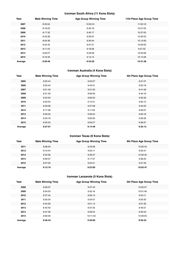## **Ironman South Africa (11 Kona Slots)**

| Year    | <b>Male Winning Time</b> | <b>Age Group Winning Time</b> | 11th Place Age Group Time |
|---------|--------------------------|-------------------------------|---------------------------|
| 2007    | 8:33:04                  | 10:05:31                      | 11:03:18                  |
| 2008    | 8:18:23                  | 9:40:18                       | 10:21:05                  |
| 2009    | 8:17:32                  | 9:45:17                       | 10:37:05                  |
| 2010    | 8:23:28                  | 9:29:37                       | 10:20:53                  |
| 2011    | 8:05:36                  | 9:30:44                       | 10:13:56                  |
| 2012    | 8:34:45                  | 9:37:21                       | 10:59:50                  |
| 2013    | 8:11:24                  | 9:18:26                       | 9:57:32                   |
| 2014    | 8:26:07                  | 9:29:28                       | 10:55:06                  |
| 2015    | 8:16:35                  | 9:13:13                       | 10:14:28                  |
| Average | 8:20:46                  | 9:34:26                       | 10:31:28                  |

## **Ironman Australia (4 Kona Slots)**

| Year    | <b>Male Winning Time</b> | <b>Age Group Winning Time</b> | 4th Place Age Group Time |
|---------|--------------------------|-------------------------------|--------------------------|
| 2005    | 8:25:44                  | 9:03:27                       | 9:31:07                  |
| 2006    | 8:20:42                  | 9:43:31                       | 9:50:18                  |
| 2007    | 8:21:49                  | 9:31:50                       | 9:41:59                  |
| 2008    | 8:31:33                  | 9:06:50                       | 9:44:18                  |
| 2009    | 8:24:53                  | 9:06:23                       | 9:35:32                  |
| 2010    | 8:23:54                  | 9:12:51                       | 9:20:15                  |
| 2011    | 8:29:28                  | 9:27:08                       | 9:40:23                  |
| 2012    | 8:17:38                  | 9:11:05                       | 9:29:07                  |
| 2013    | 8:30:23                  | 9:09:24                       | 9:29:18                  |
| 2014    | 8:35:18                  | 9:00:30                       | 9:36:30                  |
| 2015    | 8:35:53                  | 9:09:27                       | 9:28:37                  |
| Average | 8:27:01                  | 9:14:46                       | 9:35:13                  |

## **Ironman Texas (9 Kona Slots)**

| Year    | <b>Male Winning Time</b> | <b>Age Group Winning Time</b> | 9th Place Age Group Time |
|---------|--------------------------|-------------------------------|--------------------------|
| 2011    | 8:08:20                  | 9:33:08                       | 10:20:43                 |
| 2012    | 8:10:44                  | 9:02:11                       | 9:52:31                  |
| 2013    | 8:25:06                  | 9:36:27                       | 10:29:45                 |
| 2014    | 8:09:37                  | 9:17:57                       | 9:38:23                  |
| 2015    | 8:07:03                  | 9:25:21                       | 9:57:35                  |
| Average | 8:12:10                  | 9:23:00                       | 10:03:47                 |

## **Ironman Lanzarote (5 Kona Slots)**

| Year    | <b>Male Winning Time</b> | <b>Age Group Winning Time</b> | 5th Place Age Group Time |
|---------|--------------------------|-------------------------------|--------------------------|
| 2008    | 8:59:37                  | 9:37:43                       | 10:03:07                 |
| 2009    | 8:54:03                  | 9:35:16                       | 10:01:46                 |
| 2010    | 8:37:42                  | 9:26:13                       | 9:43:11                  |
| 2011    | 8:30:34                  | 9:34:07                       | 9:55:50                  |
| 2012    | 8:44:39                  | 9:51:14                       | 9:57:26                  |
| 2013    | 8:42:40                  | 9:37:35                       | 9:49:21                  |
| 2014    | 8:47:39                  | 9:26:54                       | 9:49:44                  |
| 2015    | 8:56:49                  | 10:11:53                      | 10:36:05                 |
| Average | 8:46:42                  | 9:40:06                       | 9:59:33                  |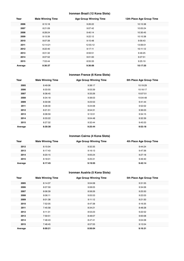## **Ironman Brazil (12 Kona Slots)**

| Year    | <b>Male Winning Time</b> | <b>Age Group Winning Time</b> | 12th Place Age Group Time |
|---------|--------------------------|-------------------------------|---------------------------|
| 2006    | 8:15:18                  | 9:26:22                       | 10:15:38                  |
| 2007    | 8:21:09                  | 9:07:42                       | 10:05:24                  |
| 2008    | 8:28:24                  | 9:40:14                       | 10:30:45                  |
| 2009    | 8:13:39                  | 9:22:12                       | 10:10:38                  |
| 2010    | 8:07:39                  | 9:15:48                       | 9:56:43                   |
| 2011    | 12:14:21                 | 12:55:12                      | 13:06:01                  |
| 2012    | 8:22:40                  | 9:17:11                       | 10:11:12                  |
| 2013    | 8:01:32                  | 8:59:51                       | 9:46:25                   |
| 2014    | 8:07:52                  | 9:01:00                       | 9:27:51                   |
| 2015    | 7:53:44                  | 8:55:33                       | 9:25:19                   |
| Average | 8:36:37                  | 9:36:06                       | 10:17:35                  |

## **Ironman France (6 Kona Slots)**

| Year    | <b>Male Winning Time</b> | <b>Age Group Winning Time</b> | 6th Place Age Group Time |
|---------|--------------------------|-------------------------------|--------------------------|
| 2005    | 8:49:06                  | 9:38:17                       | 10:19:29                 |
| 2006    | 8:33:55                  | 9:53:39                       | 10:18:17                 |
| 2007    | 8:38:45                  | 9:33:26                       | 10:07:51                 |
| 2008    | 8:34:18                  | 9:38:03                       | 10:04:48                 |
| 2009    | 8:30:06                  | 9:23:53                       | 9:41:44                  |
| 2011    | 8:28:30                  | 9:24:08                       | 9:52:02                  |
| 2012    | 8:21:51                  | 8:54:31                       | 9:36:03                  |
| 2013    | 8:08:59                  | 9:13:51                       | 9:34:15                  |
| 2014    | 8:33:22                  | 9:04:48                       | 9:32:39                  |
| 2015    | 8:27:32                  | 9:32:44                       | 9:45:53                  |
| Average | 8:30:38                  | 9:25:44                       | 9:53:18                  |

## **Ironman Cairns (4 Kona Slots)**

| Year    | <b>Male Winning Time</b> | <b>Age Group Winning Time</b> | 4th Place Age Group Time |
|---------|--------------------------|-------------------------------|--------------------------|
| 2012    | 8:15:04                  | 9:32:35                       | 9:44:24                  |
| 2013    | 8:17:43                  | 9:16:13                       | 9:47:36                  |
| 2014    | 8:20:15                  | 9:05:24                       | 9:27:18                  |
| 2015    | 8:18:01                  | 9:25:31                       | 9:49:40                  |
| Average | 8:17:45                  | 9:19:55                       | 9:42:14                  |

## **Ironman Austria (5 Kona Slots)**

| Year    | <b>Male Winning Time</b> | <b>Age Group Winning Time</b> | 5th Place Age Group Time |
|---------|--------------------------|-------------------------------|--------------------------|
| 2005    | 8:14:37                  | 9:04:08                       | 9:31:55                  |
| 2006    | 8:07:59                  | 9:08:05                       | 9:34:06                  |
| 2007    | 8:06:39                  | 8:58:26                       | 9:25:50                  |
| 2008    | 8:06:11                  | 9:05:53                       | 9:22:03                  |
| 2009    | 8:01:38                  | 9:11:12                       | 9:21:50                  |
| 2010    | 7:52:05                  | 8:47:38                       | 9:16:35                  |
| 2011    | 7:45:58                  | 8:34:21                       | 8:48:28                  |
| 2012    | 8:11:31                  | 8:53:23                       | 9:22:52                  |
| 2013    | 7:59:51                  | 8:48:07                       | 9:00:08                  |
| 2014    | 7:48:43                  | 8:47:41                       | 9:04:08                  |
| 2015    | 7:48:45                  | 8:57:55                       | 9:13:54                  |
| Average | 8:00:21                  | 8:56:04                       | 9:16:31                  |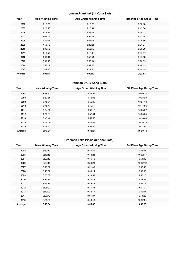## **Ironman Frankfurt (11 Kona Slots)**

| Year    | <b>Male Winning Time</b> | <b>Age Group Winning Time</b> | 11th Place Age Group Time |
|---------|--------------------------|-------------------------------|---------------------------|
| 2003    | 8:12:29                  | 9:18:29                       | 9:56:18                   |
| 2005    | 8:20:50                  | 9:10:41                       | 9:43:56                   |
| 2006    | 8:13:39                  | 9:22:08                       | 9:44:11                   |
| 2007    | 8:09:15                  | 8:59:08                       | 9:21:44                   |
| 2008    | 7:59:55                  | 8:44:15                       | 9:26:56                   |
| 2009    | 7:59:15                  | 8:38:21                       | 9:21:24                   |
| 2010    | 8:05:15                  | 8:55:19                       | 9:36:29                   |
| 2011    | 8:13:50                  | 9:15:43                       | 9:27:27                   |
| 2012    | 8:03:31                  | 8:57:51                       | 9:27:08                   |
| 2013    | 7:59:58                  | 8:56:34                       | 9:26:09                   |
| 2014    | 7:55:14                  | 8:49:03                       | 9:18:13                   |
| 2015    | 7:49:48                  | 9:19:55                       | 9:44:49                   |
| Average | 8:05:14                  | 9:02:17                       | 9:32:53                   |

#### **Ironman UK (5 Kona Slots)**

| Year    | <b>Male Winning Time</b> | <b>Age Group Winning Time</b> | 5th Place Age Group Time |
|---------|--------------------------|-------------------------------|--------------------------|
| 2007    | 8:35:57                  | 9:34:54                       | 10:00:34                 |
| 2008    | 8:53:58                  | 9:45:46                       | 10:28:23                 |
| 2009    | 8:45:51                  | 9:50:45                       | 10:24:13                 |
| 2010    | 8:40:17                  | 9:45:17                       | 10:47:06                 |
| 2011    | 8:24:33                  | 9:36:15                       | 10:05:27                 |
| 2012    | 8:55:11                  | 9:57:41                       | 10:25:34                 |
| 2013    | 8:45:48                  | 9:59:55                       | 10:16:48                 |
| 2014    | 8:44:10                  | 9:49:03                       | 10:16:23                 |
| 2015    | 8:46:37                  | 9:53:05                       | 10:17:07                 |
| Average | 8:43:35                  | 9:48:04                       | 10:20:10                 |

## **Ironman Lake Placid (3 Kona Slots)**

| Year    | <b>Male Winning Time</b> | <b>Age Group Winning Time</b> | 3rd Place Age Group Time |
|---------|--------------------------|-------------------------------|--------------------------|
| 2002    | 8:39:19                  | 9:35:37                       | 9:56:53                  |
| 2003    | 8:46:15                  | 9:48:28                       | 10:02:47                 |
| 2004    | 8:23:12                  | 9:16:10                       | 9:51:49                  |
| 2006    | 8:38:18                  | 9:58:23                       | 10:02:19                 |
| 2007    | 9:16:02                  | 9:21:43                       | 9:57:43                  |
| 2008    | 8:43:32                  | 9:53:14                       | 9:58:35                  |
| 2009    | 8:36:37                  | 9:18:58                       | 9:50:18                  |
| 2010    | 8:39:34                  | 9:34:42                       | 9:43:42                  |
| 2011    | 8:25:15                  | 9:49:44                       | 9:57:15                  |
| 2012    | 8:25:07                  | 9:45:38                       | 10:01:27                 |
| 2013    | 8:43:29                  | 9:33:47                       | 9:42:07                  |
| 2014    | 8:38:43                  | 9:01:07                       | 9:14:23                  |
| 2015    | 9:31:09                  | 9:46:48                       | 10:02:24                 |
| Average | 8:43:34                  | 9:35:43                       | 9:52:26                  |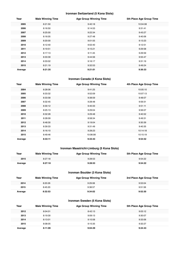#### **Ironman Switzerland (5 Kona Slots)**

| Year    | <b>Male Winning Time</b> | <b>Age Group Winning Time</b> | 5th Place Age Group Time |
|---------|--------------------------|-------------------------------|--------------------------|
| 2005    | 8:21:50                  | 9:40:18                       | 10:04:08                 |
| 2006    | 8:16:50                  | 9:14:53                       | 9:31:41                  |
| 2007    | 8:25:00                  | 9:22:34                       | 9:43:27                  |
| 2008    | 8:16:05                  | 9:27:48                       | 9:40:06                  |
| 2009    | 8:20:00                  | 9:01:55                       | 9:13:23                  |
| 2010    | 8:12:40                  | 9:02:40                       | 9:12:51                  |
| 2011    | 8:19:51                  | 9:15:21                       | 9:29:58                  |
| 2012    | 8:17:13                  | 9:11:45                       | 9:29:59                  |
| 2013    | 8:33:39                  | 9:44:56                       | 9:55:47                  |
| 2014    | 8:33:02                  | 9:16:17                       | 9:31:19                  |
| 2015    | 8:21:19                  | 9:32:53                       | 9:49:24                  |
| Average | 8:21:35                  | 9:21:01                       | 9:36:33                  |

#### **Ironman Canada (4 Kona Slots)**

| Year    | <b>Male Winning Time</b> | <b>Age Group Winning Time</b> | 4th Place Age Group Time |
|---------|--------------------------|-------------------------------|--------------------------|
| 2004    | 8:28:06                  | 9:41:25                       | 10:05:10                 |
| 2005    | 8:33:32                  | 9:52:09                       | 10:07:13                 |
| 2006    | 8:33:58                  | 9:38:59                       | 9:48:07                  |
| 2007    | 8:32:45                  | 9:28:48                       | 9:59:31                  |
| 2008    | 8:30:12                  | 9:40:33                       | 9:51:11                  |
| 2009    | 8:25:13                  | 9:29:04                       | 9:56:07                  |
| 2010    | 8:32:28                  | 9:29:48                       | 9:40:52                  |
| 2011    | 8:28:09                  | 8:58:34                       | 9:49:31                  |
| 2012    | 8:48:30                  | 9:19:04                       | 9:30:39                  |
| 2013    | 8:39:33                  | 9:31:49                       | 9:40:35                  |
| 2014    | 8:16:10                  | 9:28:23                       | 10:14:18                 |
| 2015    | 8:49:46                  | 10:06:08                      | 10:15:19                 |
| Average | 8:33:11                  | 9:33:43                       | 9:54:52                  |

## **Ironman Maastricht-Limburg (5 Kona Slots)**

| Year    | <b>Male Winning Time</b> | <b>Age Group Winning Time</b> | 5th Place Age Group Time |
|---------|--------------------------|-------------------------------|--------------------------|
| 2015    | 8:27:18                  | 9:28:53                       | 9:54:22                  |
| Average | 8:27:18                  | 9:28:53                       | 9:54:22                  |

#### **Ironman Boulder (3 Kona Slots)**

| Year    | <b>Male Winning Time</b> | <b>Age Group Winning Time</b> | 3rd Place Age Group Time |
|---------|--------------------------|-------------------------------|--------------------------|
| 2014    | 8:20:26                  | 9:29:08                       | 9:53:04                  |
| 2015    | 8:45:20                  | 9:38:57                       | 9:51:56                  |
| Average | 8:32:53                  | 9:34:02                       | 9:52:30                  |

#### **Ironman Sweden (5 Kona Slots)**

| Year    | <b>Male Winning Time</b> | <b>Age Group Winning Time</b> | 5th Place Age Group Time |
|---------|--------------------------|-------------------------------|--------------------------|
| 2012    | 8:04:01                  | 8:42:13                       | 9:03:12                  |
| 2013    | 8:19:30                  | 9:09:13                       | 9:30:07                  |
| 2014    | 8:13:01                  | 9:10:58                       | 9:33:06                  |
| 2015    | 8:08:05                  | 9:15:35                       | 9:32:27                  |
| Average | 8:11:09                  | 9:04:29                       | 9:24:43                  |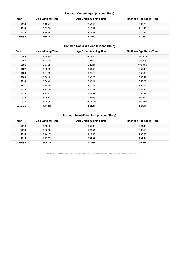## **Ironman Copenhagen (4 Kona Slots)**

| Year    | <b>Male Winning Time</b> | <b>Age Group Winning Time</b> | 4th Place Age Group Time |
|---------|--------------------------|-------------------------------|--------------------------|
| 2013    | 8:12:41                  | 8:49:58                       | 9:05:30                  |
| 2014    | 8:03:39                  | 8:47:49                       | 9:14:45                  |
| 2015    | 8:14:56                  | 8:49:43                       | 9:12:22                  |
| Average | 8:10:25                  | 8:49:10                       | 9:10:52                  |

## **Ironman Coeur d'Alene (4 Kona Slots)**

| Year    | <b>Male Winning Time</b> | <b>Age Group Winning Time</b> | 4th Place Age Group Time |
|---------|--------------------------|-------------------------------|--------------------------|
| 2003    | 8:40:59                  | 10:08:03                      | 10:22:18                 |
| 2005    | 8:23:29                  | 9:28:52                       | 9:49:06                  |
| 2006    | 9:07:05                  | 9:25:34                       | 10:08:56                 |
| 2007    | 8:33:32                  | 9:30:43                       | 9:57:48                  |
| 2008    | 8:34:22                  | 9:21:19                       | 9:50:00                  |
| 2009    | 8:32:12                  | 9:37:22                       | 9:46:47                  |
| 2010    | 8:24:40                  | 9:37:11                       | 9:50:39                  |
| 2011    | 8:19:48                  | 9:25:11                       | 9:36:14                  |
| 2012    | 8:32:29                  | 9:20:03                       | 9:45:34                  |
| 2013    | 8:17:31                  | 9:29:53                       | 9:44:11                  |
| 2014    | 8:25:44                  | 9:26:28                       | 10:02:21                 |
| 2015    | 8:20:35                  | 10:05:19                      | 10:08:00                 |
| Average | 8:31:02                  | 9:34:39                       | 9:55:09                  |

## **Ironman Mont-Tremblant (4 Kona Slots)**

| Year    | <b>Male Winning Time</b> | <b>Age Group Winning Time</b> | 4th Place Age Group Time |
|---------|--------------------------|-------------------------------|--------------------------|
| 2012    | 8:40:48                  | 9:35:36                       | 9:41:43                  |
| 2013    | 8:26:06                  | 9:23:54                       | 9:35:50                  |
| 2014    | 8:16:17                  | 9:22:45                       | 9:38:28                  |
| 2015    | 8:17:37                  | 8:54:31                       | 9:32:44                  |
| Average | 8:25:12                  | 9:19:11                       | 9:37:11                  |

Results from Ironman.com. Tables compiled by Russ Cox (russell.m.cox@gmail.com) for www.coachcox.co.uk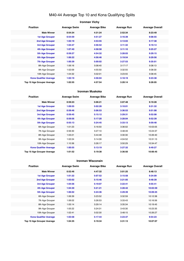## M40-44 Average Top 10 and Kona Qualifying Splits

## **Ironman Vichy Position Average Swim Average Bike Average Run Average Overall Male Winner 0:54:34 4:31:24 2:52:34 8:23:49 1st Age Grouper 0:54:59 4:51:27 3:16:39 9:08:55 2nd Age Grouper 1:02:19 4:53:55 3:13:03 9:17:38 3rd Age Grouper 1:04:47 4:56:52 3:11:32 9:19:14 4th Age Grouper 1:07:40 4:58:58 3:11:10 9:25:27 5th Age Grouper 0:59:27 4:54:32 3:28:03 9:29:15 6th Age Grouper 1:06:22 4:56:46 3:19:54 9:29:56 7th Age Grouper 1:00:39 5:00:02 3:27:53 9:35:01** 8th Age Grouper 1:06:16 5:08:40 3:17:17 9:38:13 9th Age Grouper 1:02:09 4:55:50 3:32:55 9:38:30 10th Age Grouper 1:04:32 5:02:01 3:23:55 9:38:45 **Kona Qualifier Average 1:02:19 4:56:04 3:18:19 9:23:38 Top 10 Age Grouper Average 1:02:55 4:57:54 3:20:14 9:28:05**

#### **Ironman Muskoka**

| <b>Position</b>               | <b>Average Swim</b> | <b>Average Bike</b> | <b>Average Run</b> | <b>Average Overall</b> |
|-------------------------------|---------------------|---------------------|--------------------|------------------------|
| <b>Male Winner</b>            | 0:59:23             | 5:06:21             | 3:07:48            | 9:19:28                |
| <b>1st Age Grouper</b>        | 1:09:55             | 5:02:28             | 3:10:01            | 9:31:32                |
| 2nd Age Grouper               | 0:59:46             | 5:06:53             | 3:36:53            | 9:51:08                |
| 3rd Age Grouper               | 0:59:45             | 5:15:12             | 3:29:31            | 9:52:08                |
| 4th Age Grouper               | 0:59:56             | 5:17:20             | 3:28:04            | 9:52:39                |
| <b>5th Age Grouper</b>        | 0:55:13             | 5:24:45             | 3:33:13            | 9:59:48                |
| 6th Age Grouper               | 1:01:23             | 5:16:50             | 3:36:02            | 10:03:05               |
| 7th Age Grouper               | 0:56:30             | 5:27:10             | 3:48:49            | 10:24:37               |
| 8th Age Grouper               | 1:03:21             | 5:44:48             | 3:30:30            | 10:26:40               |
| 9th Age Grouper               | 1:02:24             | 5:14:39             | 4:04:52            | 10:31:13               |
| 10th Age Grouper              | 1:10:36             | 5:26:17             | 3:50:29            | 10:34:47               |
| <b>Kona Qualifier Average</b> | 1:00:55             | 5:13:19             | 3:27:32            | 9:49:27                |
| Top 10 Age Grouper Average    | 1:01:52             | 5:19:38             | 3:36:50            | 10:06:45               |

#### **Ironman Wisconsin**

| <b>Position</b>               | <b>Average Swim</b> | <b>Average Bike</b> | <b>Average Run</b> | <b>Average Overall</b> |
|-------------------------------|---------------------|---------------------|--------------------|------------------------|
| <b>Male Winner</b>            | 0:52:46             | 4:47:32             | 3:01:25            | 8:48:13                |
| <b>1st Age Grouper</b>        | 1:01:22             | 5:07:52             | 3:15:58            | 9:34:09                |
| 2nd Age Grouper               | 1:03:02             | 5:15:46             | 3:21:05            | 9:48:39                |
| 3rd Age Grouper               | 1:04:56             | 5:19:07             | 3:22:41            | 9:55:41                |
| 4th Age Grouper               | 1:04:30             | 5:21:21             | 3:28:42            | 10:03:59               |
| <b>5th Age Grouper</b>        | 1:06:02             | 5:24:36             | 3:29:39            | 10:09:25               |
| 6th Age Grouper               | 1:06:39             | 5:23:52             | 3:32:59            | 10:12:38               |
| 7th Age Grouper               | 1:06:02             | 5:26:53             | 3:33:43            | 10:16:56               |
| 8th Age Grouper               | 1:05:14             | 5:29:14             | 3:35:34            | 10:19:45               |
| 9th Age Grouper               | 1:05:22             | 5:24:31             | 3:43:30            | 10:23:35               |
| 10th Age Grouper              | 1:02:41             | 5:02:30             | 3:48:15            | 10:26:27               |
| <b>Kona Qualifier Average</b> | 1:03:58             | 5:17:44             | 3:23:37            | 9:54:23                |
| Top 10 Age Grouper Average    | 1:04:35             | 5:19:34             | 3:31:13            | 10:07:07               |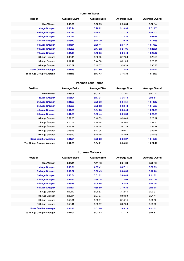#### **Ironman Wales**

| <b>Position</b>               | <b>Average Swim</b> | <b>Average Bike</b> | <b>Average Run</b> | <b>Average Overall</b> |
|-------------------------------|---------------------|---------------------|--------------------|------------------------|
| <b>Male Winner</b>            | 0:49:20             | 5:08:59             | 2:56:04            | 9:02:14                |
| <b>1st Age Grouper</b>        | 0:58:14             | 5:28:02             | 3:13:39            | 9:51:07                |
| <b>2nd Age Grouper</b>        | 1:00:37             | 5:29:41             | 3:17:16            | 9:58:32                |
| 3rd Age Grouper               | 1:00:47             | 5:43:31             | 3:13:20            | 10:08:28               |
| <b>4th Age Grouper</b>        | 0:58:10             | 5:44:39             | 3:19:34            | 10:14:35               |
| <b>5th Age Grouper</b>        | 1:04:44             | 5:56:41             | 2:37:47            | 10:17:23               |
| 6th Age Grouper               | 1:02:28             | 5:47:22             | 3:21:05            | 10:23:01               |
| <b>7th Age Grouper</b>        | 1:04:15             | 5:42:55             | 3:26:40            | 10:25:17               |
| 8th Age Grouper               | 1:05:44             | 5:50:03             | 3:17:58            | 10:26:17               |
| 9th Age Grouper               | 1:01:47             | 5:44:38             | 3:31:05            | 10:28:59               |
| 10th Age Grouper              | 1:00:57             | 5:49:37             | 3:26:38            | 10:30:53               |
| <b>Kona Qualifier Average</b> | 1:01:19             | 5:41:50             | 3:12:46            | 10:11:12               |
| Top 10 Age Grouper Average    | 1:01:46             | 5:43:43             | 3:16:30            | 10:16:27               |

#### **Ironman Lake Tahoe**

| <b>Position</b>               | <b>Average Swim</b> | <b>Average Bike</b> | <b>Average Run</b> | <b>Average Overall</b> |
|-------------------------------|---------------------|---------------------|--------------------|------------------------|
| <b>Male Winner</b>            | 0:56:06             | 5:02:47             | 3:11:51            | 9:17:18                |
| <b>1st Age Grouper</b>        | 0:55:04             | 5:17:21             | 3:26:19            | 9:45:51                |
| 2nd Age Grouper               | 1:01:05             | 5:29:38             | 3:34:51            | 10:14:17               |
| 3rd Age Grouper               | 1:02:25             | 5:32:02             | 3:32:44            | 10:15:06               |
| 4th Age Grouper               | 1:04:55             | 5:34:08             | 3:33:44            | 10:24:38               |
| 5th Age Grouper               | 1:01:53             | 5:33:44             | 3:39:36            | 10:26:28               |
| 6th Age Grouper               | 0:57:05             | 5:40:35             | 3:38:46            | 10:28:01               |
| 7th Age Grouper               | 1:10:03             | 5:29:28             | 3:45:04            | 10:34:00               |
| 8th Age Grouper               | 1:04:27             | 5:39:18             | 3:41:39            | 10:36:31               |
| 9th Age Grouper               | 0:56:25             | 5:43:05             | 3:50:41            | 10:39:47               |
| 10th Age Grouper              | 1:05:29             | 5:40:49             | 3:45:09            | 10:42:18               |
| <b>Kona Qualifier Average</b> | 1:01:04             | 5:29:22             | 3:33:27            | 10:13:16               |
| Top 10 Age Grouper Average    | 1:01:53             | 5:34:01             | 3:38:51            | 10:24:41               |

#### **Ironman Mallorca**

| <b>Position</b>               | <b>Average Swim</b> | <b>Average Bike</b> | <b>Average Run</b> | <b>Average Overall</b> |
|-------------------------------|---------------------|---------------------|--------------------|------------------------|
| <b>Male Winner</b>            | 0:47:41             | 4:41:48             | 2:51:33            | 8:25:42                |
| <b>1st Age Grouper</b>        | 0:53:21             | 4:57:41             | 3:07:11            | 9:03:59                |
| 2nd Age Grouper               | 0:57:37             | 5:03:49             | 3:04:08            | 9:10:20                |
| 3rd Age Grouper               | 0:55:04             | 5:01:22             | 3:08:48            | 9:11:02                |
| 4th Age Grouper               | 0:54:54             | 4:59:15             | 3:12:09            | 9:12:10                |
| 5th Age Grouper               | 0:59:19             | 5:04:56             | 3:03:46            | 9:14:36                |
| 6th Age Grouper               | 0:54:21             | 4:58:59             | 3:19:30            | 9:19:05                |
| 7th Age Grouper               | 1:00:12             | 5:00:53             | 3:12:44            | 9:20:31                |
| 8th Age Grouper               | 1:00:14             | 5:07:07             | 3:03:30            | 9:21:44                |
| 9th Age Grouper               | 0:59:01             | 5:03:01             | 3:18:14            | 9:26:58                |
| 10th Age Grouper              | 0:56:41             | 5:03:17             | 3:22:08            | 9:29:09                |
| <b>Kona Qualifier Average</b> | 0:55:46             | 5:01:00             | 3:09:15            | 9:11:52                |
| Top 10 Age Grouper Average    | 0:57:04             | 5:02:02             | 3:11:13            | 9:16:57                |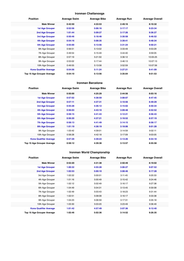## **Ironman Chattanooga**

| <b>Position</b>               | <b>Average Swim</b> | <b>Average Bike</b> | <b>Average Run</b> | <b>Average Overall</b> |
|-------------------------------|---------------------|---------------------|--------------------|------------------------|
| <b>Male Winner</b>            | 0:42:50             | 4:33:53             | 2:49:16            | 8:10:32                |
| <b>1st Age Grouper</b>        | 0:52:56             | 5:06:16             | 3:17:17            | 9:23:34                |
| <b>2nd Age Grouper</b>        | 1:01:44             | 5:09:27             | 3:17:26            | 9:36:27                |
| 3rd Age Grouper               | 0:50:46             | 5:18:48             | 3:30:58            | 9:46:52                |
| 4th Age Grouper               | 0:54:16             | 5:08:35             | 3:39:41            | 9:48:34                |
| <b>5th Age Grouper</b>        | 0:55:00             | 5:13:56             | 3:31:24            | 9:50:21                |
| 6th Age Grouper               | 0:56:51             | 5:13:02             | 3:33:49            | 9:53:29                |
| 7th Age Grouper               | 0:49:54             | 5:15:49             | 3:44:40            | 9:59:05                |
| 8th Age Grouper               | 0:57:19             | 5:21:50             | 3:36:12            | 10:05:25               |
| 9th Age Grouper               | 0:53:02             | 5:17:44             | 3:46:13            | 10:07:13               |
| 10th Age Grouper              | 0:49:55             | 5:13:58             | 3:52:59            | 10:07:56               |
| <b>Kona Qualifier Average</b> | 0:54:56             | 5:11:24             | 3:27:21            | 9:41:09                |
| Top 10 Age Grouper Average    | 0:54:10             | 5:13:56             | 3:35:04            | 9:51:53                |

#### **Ironman Barcelona**

| <b>Position</b>               | <b>Average Swim</b> | <b>Average Bike</b> | <b>Average Run</b> | <b>Average Overall</b> |
|-------------------------------|---------------------|---------------------|--------------------|------------------------|
| <b>Male Winner</b>            | 0:50:00             | 4:25:29             | 2:44:56            | 8:03:16                |
| <b>1st Age Grouper</b>        | 0:57:02             | 4:38:59             | 3:08:07            | 8:47:45                |
| 2nd Age Grouper               | 0:57:11             | 4:37:31             | 3:10:56            | 8:49:29                |
| <b>3rd Age Grouper</b>        | 0:55:28             | 4:36:12             | 3:15:02            | 8:50:34                |
| <b>4th Age Grouper</b>        | 0:56:03             | 4:43:10             | 3:09:48            | 8:52:52                |
| <b>5th Age Grouper</b>        | 0:58:15             | 4:41:43             | 3:12:21            | 8:56:43                |
| <b>6th Age Grouper</b>        | 0:56:20             | 4:37:21             | 3:18:52            | 8:57:19                |
| <b>7th Age Grouper</b>        | 0:58:13             | 4:41:49             | 3:14:15            | 8:58:17                |
| <b>8th Age Grouper</b>        | 1:01:19             | 4:38:19             | 3:18:06            | 9:01:28                |
| 9th Age Grouper               | 1:03:42             | 4:39:01             | 3:14:59            | 9:02:11                |
| 10th Age Grouper              | 0:58:28             | 4:42:18             | 3:17:09            | 9:03:05                |
| <b>Kona Qualifier Average</b> | 0:57:29             | 4:39:23             | 3:13:26            | 8:54:18                |
| Top 10 Age Grouper Average    | 0:58:12             | 4:39:38             | 3:13:57            | 8:55:58                |

## **Ironman World Championship**

| <b>Position</b>                   | <b>Average Swim</b> | <b>Average Bike</b> | <b>Average Run</b> | <b>Average Overall</b> |
|-----------------------------------|---------------------|---------------------|--------------------|------------------------|
| <b>Male Winner</b>                | 0:52:20             | 4:31:38             | 2:50:49            | 8:19:02                |
| <b>1st Age Grouper</b>            | 1:00:32             | 4:55:28             | 3:06:27            | 9:07:52                |
| <b>2nd Age Grouper</b>            | 1:02:53             | 5:00:10             | 3:08:46            | 9:17:28                |
| 3rd Age Grouper                   | 1:02:22             | 5:00:01             | 3:11:45            | 9:20:33                |
| 4th Age Grouper                   | 1:01:16             | 5:00:49             | 3:15:42            | 9:24:46                |
| 5th Age Grouper                   | 1:02:12             | 5:02:49             | 3:16:17            | 9:27:38                |
| 6th Age Grouper                   | 1:04:49             | 5:04:31             | 3:13:45            | 9:30:08                |
| 7th Age Grouper                   | 1:02:49             | 5:03:43             | 3:18:23            | 9:31:44                |
| 8th Age Grouper                   | 1:02:51             | 5:08:08             | 3:16:17            | 9:33:38                |
| 9th Age Grouper                   | 1:04:23             | 5:06:59             | 3:17:31            | 9:35:18                |
| 10th Age Grouper                  | 1:03:30             | 5:03:20             | 3:23:49            | 9:36:49                |
| <b>Kona Qualifier Average</b>     | 1:01:42             | 4:57:49             | 3:07:36            | 9:12:40                |
| <b>Top 10 Age Grouper Average</b> | 1:02:46             | 5:02:36             | 3:14:52            | 9:26:35                |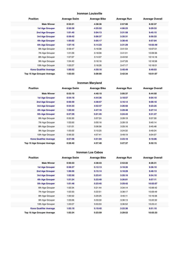#### **Ironman Louisville**

| <b>Position</b>               | <b>Average Swim</b> | <b>Average Bike</b> | <b>Average Run</b> | <b>Average Overall</b> |
|-------------------------------|---------------------|---------------------|--------------------|------------------------|
| <b>Male Winner</b>            | 0:52:21             | 4:38:36             | 2:57:00            | 8:32:37                |
| <b>1st Age Grouper</b>        | 0:50:36             | 4:25:52             | 4:06:23            | 9:29:33                |
| <b>2nd Age Grouper</b>        | 1:01:45             | 5:04:13             | 3:31:58            | 9:45:15                |
| <b>3rd Age Grouper</b>        | 0:59:42             | 5:06:37             | 3:35:31            | 9:50:33                |
| 4th Age Grouper               | 1:05:02             | 5:05:17             | 3:38:45            | 9:57:04                |
| <b>5th Age Grouper</b>        | 1:07:16             | 5:14:23             | 3:31:29            | 10:02:49               |
| 6th Age Grouper               | 0:59:47             | 5:16:38             | 3:41:54            | 10:07:01               |
| 7th Age Grouper               | 1:01:09             | 5:18:08             | 3:41:01            | 10:09:36               |
| 8th Age Grouper               | 1:07:07             | 5:14:07             | 3:43:50            | 10:14:16               |
| 9th Age Grouper               | 1:04:42             | 5:16:16             | 3:47:28            | 10:16:58               |
| 10th Age Grouper              | 1:03:27             | 5:18:26             | 3:47:17            | 10:18:01               |
| <b>Kona Qualifier Average</b> | 1:00:52             | 4:59:16             | 3:40:49            | 9:49:03                |
| Top 10 Age Grouper Average    | 1:02:03             | 5:08:00             | 3:42:34            | 10:01:07               |

#### **Ironman Maryland**

| <b>Position</b>               | <b>Average Swim</b> | <b>Average Bike</b> | <b>Average Run</b> | <b>Average Overall</b> |
|-------------------------------|---------------------|---------------------|--------------------|------------------------|
| <b>Male Winner</b>            | 0:53:10             | 4:40:10             | 3:05:37            | 8:44:50                |
| <b>1st Age Grouper</b>        | 0:54:18             | 4:44:36             | 3:18:57            | 9:04:10                |
| 2nd Age Grouper               | 0:56:59             | 4:48:57             | 3:16:14            | 9:09:18                |
| 3rd Age Grouper               | 0:54:33             | 4:52:47             | 3:26:50            | 9:23:25                |
| 4th Age Grouper               | 1:02:22             | 4:47:16             | 3:29:48            | 9:27:14                |
| 5th Age Grouper               | 0:57:29             | 5:01:45             | 3:24:43            | 9:31:27                |
| 6th Age Grouper               | 0:55:30             | 5:07:24             | 3:28:19            | 9:37:30                |
| 7th Age Grouper               | 1:03:00             | 5:00:16             | 3:28:19            | 9:40:14                |
| 8th Age Grouper               | 1:01:01             | 5:06:56             | 3:29:16            | 9:45:48                |
| 9th Age Grouper               | 1:05:02             | 5:10:25             | 3:24:32            | 9:49:24                |
| 10th Age Grouper              | 0:56:32             | 4:57:41             | 3:49:19            | 9:54:07                |
| <b>Kona Qualifier Average</b> | 0:57:08             | 4:51:04             | 3:23:18            | 9:19:06                |
| Top 10 Age Grouper Average    | 0:58:40             | 4:57:48             | 3:27:37            | 9:32:15                |

#### **Ironman Los Cabos**

| <b>Position</b>               | <b>Average Swim</b> | <b>Average Bike</b> | <b>Average Run</b> | <b>Average Overall</b> |
|-------------------------------|---------------------|---------------------|--------------------|------------------------|
| <b>Male Winner</b>            | 0:50:33             | 4:38:43             | 2:53:22            | 8:26:31                |
| <b>1st Age Grouper</b>        | 0:58:37             | 5:12:13             | 3:18:35            | 9:36:10                |
| 2nd Age Grouper               | 1:06:56             | 5:15:14             | 3:18:29            | 9:46:13                |
| 3rd Age Grouper               | 1:02:50             | 5:23:41             | 3:20:16            | 9:54:10                |
| 4th Age Grouper               | 1:01:24             | 5:23:40             | 3:26:01            | 9:57:11                |
| 5th Age Grouper               | 1:01:48             | 5:23:45             | 3:29:42            | 10:02:07               |
| 6th Age Grouper               | 1:02:34             | 5:21:44             | 3:34:14            | 10:06:42               |
| 7th Age Grouper               | 1:02:50             | 5:22:51             | 3:38:17            | 10:09:49               |
| 8th Age Grouper               | 1:00:52             | 5:29:25             | 3:40:11            | 10:16:56               |
| 9th Age Grouper               | 1:03:06             | 5:33:30             | 3:36:13            | 10:22:32               |
| 10th Age Grouper              | 1:03:07             | 5:33:53             | 3:36:52            | 10:23:41               |
| <b>Kona Qualifier Average</b> | 1:02:19             | 5:19:42             | 3:22:36            | 9:51:10                |
| Top 10 Age Grouper Average    | 1:02:24             | 5:23:59             | 3:29:53            | 10:03:33               |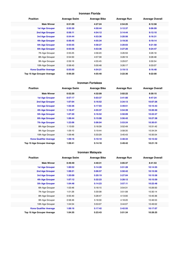#### **Ironman Florida**

| <b>Position</b>               | <b>Average Swim</b> | <b>Average Bike</b> | <b>Average Run</b> | <b>Average Overall</b> |
|-------------------------------|---------------------|---------------------|--------------------|------------------------|
| <b>Male Winner</b>            | 0:51:09             | 4:27:24             | 2:54:25            | 8:12:58                |
| <b>1st Age Grouper</b>        | 0:55:30             | 4:50:44             | 3:12:37            | 9:06:09                |
| 2nd Age Grouper               | 0:56:11             | 4:54:12             | 3:14:44            | 9:12:10                |
| 3rd Age Grouper               | 0:54:44             | 4:53:36             | 3:20:56            | 9:16:31                |
| 4th Age Grouper               | 0:56:45             | 4:55:34             | 3:19:35            | 9:19:14                |
| <b>5th Age Grouper</b>        | 0:55:55             | 4:58:27             | 3:20:03            | 9:21:58                |
| <b>6th Age Grouper</b>        | 0:55:56             | 4:53:36             | 3:27:20            | 9:24:47                |
| 7th Age Grouper               | 0:55:25             | 4:56:20             | 3:26:59            | 9:26:18                |
| 8th Age Grouper               | 0:54:50             | 4:57:39             | 3:28:19            | 9:28:48                |
| 9th Age Grouper               | 0:59:16             | 4:55:45             | 3:29:07            | 9:30:54                |
| 10th Age Grouper              | 0:58:43             | 5:00:48             | 3:26:17            | 9:33:07                |
| <b>Kona Qualifier Average</b> | 0:55:50             | 4:54:21             | 3:19:13            | 9:16:48                |
| Top 10 Age Grouper Average    | 0:56:20             | 4:55:40             | 3:22:36            | 9:22:00                |

#### **Ironman Fortaleza**

| <b>Position</b>                   | <b>Average Swim</b> | <b>Average Bike</b> | <b>Average Run</b> | <b>Average Overall</b> |
|-----------------------------------|---------------------|---------------------|--------------------|------------------------|
| <b>Male Winner</b>                | 0:52:20             | 4:32:09             | 3:02:22            | 8:30:15                |
| <b>1st Age Grouper</b>            | 0:57:17             | 5:03:37             | 3:41:00            | 9:47:24                |
| 2nd Age Grouper                   | 1:07:04             | 5:16:52             | 3:34:13            | 10:07:26               |
| 3rd Age Grouper                   | 1:02:36             | 5:17:03             | 3:49:51            | 10:15:43               |
| <b>4th Age Grouper</b>            | 1:18:47             | 4:55:37             | 3:54:39            | 10:20:30               |
| <b>5th Age Grouper</b>            | 1:07:20             | 5:16:52             | 3:50:09            | 10:22:27               |
| <b>6th Age Grouper</b>            | 1:08:44             | 5:15:08             | 3:56:42            | 10:27:38               |
| <b>7th Age Grouper</b>            | 1:23:06             | 5:06:04             | 3:53:24            | 10:30:01               |
| 8th Age Grouper                   | 1:13:00             | 5:18:39             | 3:52:49            | 10:31:42               |
| 9th Age Grouper                   | 1:09:10             | 5:19:44             | 3:58:35            | 10:34:34               |
| 10th Age Grouper                  | 1:09:46             | 5:33:29             | 3:45:43            | 10:35:54               |
| <b>Kona Qualifier Average</b>     | 1:09:16             | 5:10:10             | 3:48:34            | 10:15:52               |
| <b>Top 10 Age Grouper Average</b> | 1:09:41             | 5:14:18             | 3:49:42            | 10:21:19               |

## **Ironman Malaysia**

| <b>Position</b>               | <b>Average Swim</b> | <b>Average Bike</b> | <b>Average Run</b> | <b>Average Overall</b> |
|-------------------------------|---------------------|---------------------|--------------------|------------------------|
| <b>Male Winner</b>            | 0:49:49             | 4:40:31             | 3:05:37            | 8:41:53                |
| <b>1st Age Grouper</b>        | 1:00:52             | 5:14:28             | 3:51:28            | 10:14:55               |
| 2nd Age Grouper               | 1:08:21             | 5:06:57             | 3:50:42            | 10:15:56               |
| 3rd Age Grouper               | 1:20:09             | 5:20:19             | 3:27:04            | 10:15:58               |
| 4th Age Grouper               | 1:07:12             | 5:32:23             | 3:28:12            | 10:15:59               |
| 5th Age Grouper               | 1:04:48             | 5:14:23             | 3:57:11            | 10:22:48               |
| 6th Age Grouper               | 1:03:46             | 5:18:15             | 3:54:31            | 10:26:50               |
| 7th Age Grouper               | 1:01:26             | 5:30:08             | 3:51:08            | 10:30:14               |
| 8th Age Grouper               | 0:55:40             | 5:28:47             | 4:13:00            | 10:45:36               |
| 9th Age Grouper               | 0:58:46             | 5:18:30             | 4:18:20            | 10:46:53               |
| 10th Age Grouper              | 1:04:54             | 5:53:07             | 3:44:07            | 10:49:02               |
| <b>Kona Qualifier Average</b> | 1:08:16             | 5:17:42             | 3:42:55            | 10:17:07               |
| Top 10 Age Grouper Average    | 1:04:35             | 5:23:43             | 3:51:34            | 10:28:25               |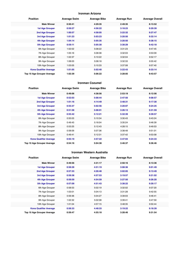#### **Ironman Arizona**

| <b>Position</b>               | <b>Average Swim</b> | <b>Average Bike</b> | <b>Average Run</b> | <b>Average Overall</b> |
|-------------------------------|---------------------|---------------------|--------------------|------------------------|
| <b>Male Winner</b>            | 0:50:41             | 4:29:35             | 2:49:35            | 8:13:52                |
| <b>1st Age Grouper</b>        | 0:59:27             | 4:56:22             | 3:18:23            | 9:20:39                |
| <b>2nd Age Grouper</b>        | 1:00:57             | 4:58:05             | 3:22:32            | 9:27:47                |
| 3rd Age Grouper               | 1:01:23             | 5:03:23             | 3:20:50            | 9:32:14                |
| 4th Age Grouper               | 1:04:14             | 5:05:35             | 3:20:50            | 9:38:15                |
| <b>5th Age Grouper</b>        | 0:59:11             | 5:05:30             | 3:30:29            | 9:42:18                |
| 6th Age Grouper               | 1:02:02             | 5:08:22             | 3:31:23            | 9:47:45                |
| 7th Age Grouper               | 1:05:16             | 5:08:38             | 3:32:03            | 9:53:09                |
| 8th Age Grouper               | 1:02:37             | 5:10:22             | 3:32:04            | 9:52:17                |
| 9th Age Grouper               | 1:08:03             | 5:08:18             | 3:32:33            | 9:55:42                |
| 10th Age Grouper              | 1:03:05             | 5:10:33             | 3:37:08            | 9:57:40                |
| <b>Kona Qualifier Average</b> | 1:01:05             | 5:02:40             | 3:22:43            | 9:33:14                |
| Top 10 Age Grouper Average    | 1:02:39             | 5:06:22             | 3:28:05            | 9:43:57                |

#### **Ironman Cozumel**

| <b>Position</b>               | <b>Average Swim</b> | <b>Average Bike</b> | <b>Average Run</b> | <b>Average Overall</b> |
|-------------------------------|---------------------|---------------------|--------------------|------------------------|
| <b>Male Winner</b>            | 0:49:06             | 4:38:56             | 2:53:19            | 8:12:56                |
| <b>1st Age Grouper</b>        | 0:52:03             | 5:08:44             | 2:47:50            | 9:08:57                |
| 2nd Age Grouper               | 1:01:16             | 4:14:49             | 3:48:31            | 9:17:30                |
| <b>3rd Age Grouper</b>        | 0:55:37             | 5:02:56             | 3:20:07            | 9:24:25                |
| 4th Age Grouper               | 0:51:58             | 5:08:01             | 3:26:13            | 9:31:59                |
| <b>5th Age Grouper</b>        | 0:55:42             | 5:12:21             | 5:32:39            | 9:39:57                |
| 6th Age Grouper               | 0:55:03             | 5:10:34             | 3:30:43            | 9:43:24                |
| 7th Age Grouper               | 0:49:43             | 5:16:04             | 3:35:24            | 9:46:39                |
| 8th Age Grouper               | 0:53:25             | 5:12:43             | 4:28:15            | 9:49:53                |
| 9th Age Grouper               | 0:58:09             | 5:07:36             | 3:38:48            | 9:51:01                |
| 10th Age Grouper              | 0:49:41             | 5:12:31             | 3:37:42            | 9:53:58                |
| <b>Kona Qualifier Average</b> | 0:55:19             | 4:57:22             | 3:47:04            | 9:24:33                |
| Top 10 Age Grouper Average    | 0:54:16             | 5:04:38             | 3:46:37            | 9:36:46                |

#### **Ironman Western Australia**

| <b>Position</b>               | <b>Average Swim</b> | <b>Average Bike</b> | <b>Average Run</b> | <b>Average Overall</b> |
|-------------------------------|---------------------|---------------------|--------------------|------------------------|
| <b>Male Winner</b>            | 0:49:56             | 4:31:17             | 2:50:16            | 8:13:36                |
| <b>1st Age Grouper</b>        | 0:58:28             | 4:51:19             | 3:08:36            | 9:01:49                |
| <b>2nd Age Grouper</b>        | 0:57:33             | 4:26:48             | 3:02:05            | 9:13:49                |
| 3rd Age Grouper               | 0:59:38             | 4:57:53             | 3:19:57            | 9:21:02                |
| <b>4th Age Grouper</b>        | 0:59:59             | 4:54:59             | 3:27:50            | 9:26:20                |
| <b>5th Age Grouper</b>        | 0:57:09             | 4:51:43             | 3:38:22            | 9:30:17                |
| 6th Age Grouper               | 0:58:53             | 5:02:19             | 3:32:02            | 9:37:20                |
| 7th Age Grouper               | 1:03:01             | 5:04:13             | 3:31:28            | 9:42:55                |
| 8th Age Grouper               | 0:59:36             | 5:04:27             | 3:39:03            | 9:46:41                |
| 9th Age Grouper               | 1:02:32             | 5:02:08             | 3:39:41            | 9:47:59                |
| 10th Age Grouper              | 1:01:04             | 4:57:15             | 3:48:35            | 9:50:44                |
| <b>Kona Qualifier Average</b> | 0:58:33             | 4:48:33             | 3:19:22            | 9:18:39                |
| Top 10 Age Grouper Average    | 0:59:47             | 4:55:18             | 3:28:46            | 9:31:54                |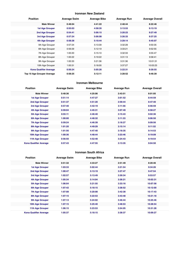#### **Ironman New Zealand**

| <b>Position</b>               | <b>Average Swim</b> | <b>Average Bike</b> | <b>Average Run</b> | <b>Average Overall</b> |
|-------------------------------|---------------------|---------------------|--------------------|------------------------|
| <b>Male Winner</b>            | 0:48:04             | 4:41:22             | 2:48:44            | 8:22:46                |
| <b>1st Age Grouper</b>        | 0:55:03             | 4:58:35             | 3:13:53            | 9:13:19                |
| <b>2nd Age Grouper</b>        | 0:54:41             | 5:06:15             | 3:20:23            | 9:27:49                |
| 3rd Age Grouper               | 0:57:24             | 5:06:08             | 3:26:33            | 9:37:25                |
| 4th Age Grouper               | 0:58:28             | 5:10:44             | 3:29:14            | 9:45:07                |
| 5th Age Grouper               | 0:57:24             | 5:13:39             | 3:32:28            | 9:50:35                |
| 6th Age Grouper               | 0:59:29             | 5:12:19             | 3:33:21            | 9:52:55                |
| 7th Age Grouper               | 1:00:20             | 5:15:10             | 3:32:33            | 9:55:47                |
| 8th Age Grouper               | 1:00:22             | 5:19:22             | 3:31:13            | 9:58:41                |
| 9th Age Grouper               | 1:00:33             | 5:21:36             | 3:31:36            | 10:01:31               |
| 10th Age Grouper              | 1:00:31             | 5:18:00             | 3:37:27            | 10:03:23               |
| <b>Kona Qualifier Average</b> | 0:56:24             | 5:05:26             | 3:22:31            | 9:30:55                |
| Top 10 Age Grouper Average    | 0:58:25             | 5:12:11             | 3:28:52            | 9:46:39                |

#### **Ironman Melbourne**

| <b>Position</b>               | <b>Average Swim</b> | <b>Average Bike</b> | <b>Average Run</b> | <b>Average Overall</b> |
|-------------------------------|---------------------|---------------------|--------------------|------------------------|
| <b>Male Winner</b>            | 0:48:36             | 4:25:06             | 2:43:51            | 8:01:05                |
| <b>1st Age Grouper</b>        | 0:51:14             | 4:47:27             | 3:01:52            | 8:44:59                |
| 2nd Age Grouper               | 0:51:37             | 4:51:20             | 2:59:44            | 8:47:40                |
| 3rd Age Grouper               | 0:57:40             | 4:42:19             | 3:11:56            | 8:56:59                |
| 4th Age Grouper               | 0:59:04             | 4:45:31             | 3:07:49            | 8:58:27                |
| 5th Age Grouper               | 0:55:11             | 4:46:40             | 3:15:43            | 9:02:36                |
| <b>6th Age Grouper</b>        | 1:00:00             | 4:48:32             | 3:11:33            | 9:06:50                |
| <b>7th Age Grouper</b>        | 0:59:24             | 4:46:39             | 3:18:27            | 9:09:56                |
| <b>8th Age Grouper</b>        | 1:01:20             | 4:49:29             | 3:15:14            | 9:11:52                |
| 9th Age Grouper               | 1:01:56             | 4:47:40             | 3:18:35            | 9:14:53                |
| 10th Age Grouper              | 1:00:36             | 4:48:44             | 3:23:46            | 9:19:09                |
| 11th Age Grouper              | 0:56:50             | 4:52:48             | 3:24:43            | 9:19:54                |
| <b>Kona Qualifier Average</b> | 0:57:43             | 4:47:55             | 3:13:35            | 9:04:50                |

#### **Ironman South Africa**

| <b>Position</b>               | <b>Average Swim</b> | <b>Average Bike</b> | <b>Average Run</b> | <b>Average Overall</b> |
|-------------------------------|---------------------|---------------------|--------------------|------------------------|
| <b>Male Winner</b>            | 0:51:32             | 4:33:27             | 2:51:49            | 8:20:46                |
| 1st Age Grouper               | 1:03:33             | 5:02:44             | 3:21:54            | 9:34:26                |
| <b>2nd Age Grouper</b>        | 1:00:47             | 5:13:19             | 3:27:47            | 9:47:54                |
| 3rd Age Grouper               | 1:02:57             | 5:13:49             | 3:30:34            | 9:53:57                |
| <b>4th Age Grouper</b>        | 1:05:34             | 5:14:04             | 3:36:21            | 10:02:31               |
| <b>5th Age Grouper</b>        | 1:06:04             | 5:21:55             | 3:33:16            | 10:07:58               |
| <b>6th Age Grouper</b>        | 1:07:42             | 5:18:15             | 3:38:52            | 10:12:00               |
| <b>7th Age Grouper</b>        | 1:07:08             | 5:20:08             | 3:42:38            | 10:17:43               |
| <b>8th Age Grouper</b>        | 1:07:15             | 5:22:53             | 3:43:48            | 10:21:18               |
| 9th Age Grouper               | 1:07:13             | 5:24:02             | 3:46:44            | 10:25:46               |
| 10th Age Grouper              | 1:07:15             | 5:25:40             | 3:48:53            | 10:28:54               |
| 11th Age Grouper              | 1:06:15             | 5:23:53             | 3:54:05            | 10:31:28               |
| <b>Kona Qualifier Average</b> | 1:05:37             | 5:18:15             | 3:38:37            | 10:09:27               |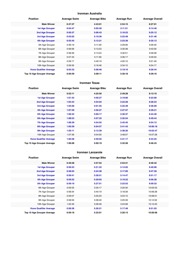#### **Ironman Australia**

| <b>Position</b>               | <b>Average Swim</b> | <b>Average Bike</b> | <b>Average Run</b> | <b>Average Overall</b> |
|-------------------------------|---------------------|---------------------|--------------------|------------------------|
| <b>Male Winner</b>            | 0:47:37             | 4:43:01             | 2:54:15            | 8:27:01                |
| <b>1st Age Grouper</b>        | 0:54:47             | 5:05:30             | 3:11:51            | 9:14:46                |
| <b>2nd Age Grouper</b>        | 0:56:37             | 5:06:43             | 3:18:23            | 9:25:12                |
| 3rd Age Grouper               | 0:55:02             | 5:10:36             | 3:22:48            | 9:31:46                |
| 4th Age Grouper               | 0:55:45             | 5:12:21             | 3:23:38            | 9:35:13                |
| 5th Age Grouper               | 0:56:19             | 5:11:09             | 3:29:06            | 9:39:40                |
| 6th Age Grouper               | 0:56:06             | 5:13:23             | 3:30:38            | 9:43:30                |
| 7th Age Grouper               | 0:58:39             | 5:14:04             | 3:30:51            | 9:46:58                |
| 8th Age Grouper               | 0:57:43             | 5:11:56             | 3:36:17            | 9:49:33                |
| 9th Age Grouper               | 0:59:17             | 4:49:19             | 4:05:10            | 9:51:49                |
| 10th Age Grouper              | 0:59:35             | 5:16:46             | 3:34:15            | 9:54:17                |
| <b>Kona Qualifier Average</b> | 0:55:33             | 5:08:48             | 3:19:10            | 9:26:44                |
| Top 10 Age Grouper Average    | 0:56:59             | 5:09:11             | 3:30:18            | 9:39:16                |

#### **Ironman Texas**

| <b>Position</b>               | <b>Average Swim</b> | <b>Average Bike</b> | <b>Average Run</b> | <b>Average Overall</b> |
|-------------------------------|---------------------|---------------------|--------------------|------------------------|
| <b>Male Winner</b>            | 0:52:11             | 4:25:50             | 2:49:28            | 8:12:10                |
| <b>1st Age Grouper</b>        | 1:01:43             | 4:56:27             | 3:19:06            | 9:23:00                |
| 2nd Age Grouper               | 1:04:44             | 4:54:04             | 3:22:28            | 9:28:24                |
| 3rd Age Grouper               | 1:04:00             | 5:01:55             | 3:22:39            | 9:36:09                |
| 4th Age Grouper               | 1:07:59             | 4:56:27             | 3:27:57            | 9:39:21                |
| <b>5th Age Grouper</b>        | 1:06:32             | 5:00:17             | 3:30:37            | 9:44:46                |
| 6th Age Grouper               | 1:08:53             | 4:57:33             | 3:35:54            | 9:49:44                |
| <b>7th Age Grouper</b>        | 1:08:39             | 4:54:55             | 3:42:45            | 9:54:12                |
| 8th Age Grouper               | 1:05:59             | 5:04:57             | 3:41:43            | 10:00:18               |
| 9th Age Grouper               | 1:05:11             | 5:12:39             | 3:38:26            | 10:03:47               |
| 10th Age Grouper              | 1:07:39             | 5:04:00             | 3:48:07            | 10:07:28               |
| <b>Kona Qualifier Average</b> | 1:05:58             | 4:59:55             | 3:31:17            | 9:44:25                |
| Top 10 Age Grouper Average    | 1:06:08             | 5:00:19             | 3:32:58            | 9:46:43                |

#### **Ironman Lanzarote**

| <b>Position</b>               | <b>Average Swim</b> | <b>Average Bike</b> | <b>Average Run</b> | <b>Average Overall</b> |
|-------------------------------|---------------------|---------------------|--------------------|------------------------|
| <b>Male Winner</b>            | 0:49:28             | 4:57:52             | 2:53:31            | 8:46:42                |
| <b>1st Age Grouper</b>        | 0:56:53             | 5:21:22             | 3:14:02            | 9:40:06                |
| <b>2nd Age Grouper</b>        | 0:58:03             | 5:24:38             | 3:17:00            | 9:47:39                |
| 3rd Age Grouper               | 0:59:41             | 5:28:51             | 3:14:47            | 9:51:17                |
| 4th Age Grouper               | 0:59:22             | 5:29:03             | 3:19:22            | 9:56:38                |
| <b>5th Age Grouper</b>        | 0:59:10             | 5:27:51             | 3:23:53            | 9:59:33                |
| 6th Age Grouper               | 0:59:33             | 5:35:17             | 3:20:30            | 10:03:53               |
| 7th Age Grouper               | 0:58:34             | 5:40:19             | 3:18:39            | 10:06:28               |
| 8th Age Grouper               | 0:59:57             | 5:35:23             | 3:24:15            | 10:08:01               |
| 9th Age Grouper               | 0:58:59             | 5:38:40             | 3:25:39            | 10:12:02               |
| 10th Age Grouper              | 1:02:49             | 5:38:48             | 3:24:08            | 10:15:23               |
| <b>Kona Qualifier Average</b> | 0:58:38             | 5:26:21             | 3:17:49            | 9:51:03                |
| Top 10 Age Grouper Average    | 0:59:18             | 5:32:01             | 3:20:13            | 10:00:06               |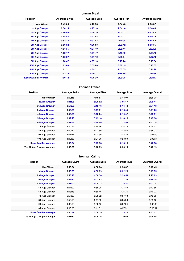#### **Ironman Brazil**

| <b>Position</b>               | <b>Average Swim</b> | <b>Average Bike</b> | <b>Average Run</b> | <b>Average Overall</b> |
|-------------------------------|---------------------|---------------------|--------------------|------------------------|
| <b>Male Winner</b>            | 0:49:05             | 4:25:58             | 2:54:46            | 8:36:37                |
| <b>1st Age Grouper</b>        | 0:58:15             | 4:27:18             | 2:54:16            | 9:36:06                |
| 2nd Age Grouper               | 0:56:46             | 4:29:19             | 3:01:13            | 9:43:48                |
| 3rd Age Grouper               | 0:58:54             | 4:32:58             | 3:01:13            | 9:49:26                |
| 4th Age Grouper               | 0:52:28             | 4:07:43             | 2:44:38            | 9:55:59                |
| 5th Age Grouper               | 0:56:52             | 4:36:03             | 3:02:42            | 9:58:35                |
| <b>6th Age Grouper</b>        | 1:01:35             | 4:34:49             | 3:09:41            | 10:02:23               |
| <b>7th Age Grouper</b>        | 1:02:17             | 4:37:47             | 3:48:49            | 10:05:45               |
| <b>8th Age Grouper</b>        | 1:06:27             | 4:37:12             | 3:06:54            | 10:07:49               |
| 9th Age Grouper               | 1:00:47             | 4:37:13             | 3:15:24            | 10:10:34               |
| 10th Age Grouper              | 1:03:08             | 3:35:00             | 3:36:19            | 10:13:07               |
| 11th Age Grouper              | 1:02:31             | 4:09:31             | 2:55:35            | 10:14:20               |
| 12th Age Grouper              | 1:02:29             | 4:39:11             | 3:16:56            | 10:17:35               |
| <b>Kona Qualifier Average</b> | 1:00:12             | 4:25:20             | 3:09:28            | 10:01:17               |

#### **Ironman France**

| <b>Position</b>               | <b>Average Swim</b> | <b>Average Bike</b> | <b>Average Run</b> | <b>Average Overall</b> |
|-------------------------------|---------------------|---------------------|--------------------|------------------------|
| <b>Male Winner</b>            | 0:50:18             | 4:46:51             | 2:48:07            | 8:30:38                |
| <b>1st Age Grouper</b>        | 1:01:05             | 5:09:52             | 3:06:57            | 9:25:44                |
| 2nd Age Grouper               | 0:57:56             | 5:13:46             | 3:14:44            | 9:34:13                |
| 3rd Age Grouper               | 0:58:39             | 5:17:51             | 3:16:45            | 9:41:05                |
| <b>4th Age Grouper</b>        | 0:59:59             | 5:16:04             | 3:19:47            | 9:43:51                |
| 5th Age Grouper               | 1:02:48             | 5:19:10             | 3:16:16            | 9:47:38                |
| 6th Age Grouper               | 1:01:56             | 5:19:06             | 3:22:53            | 9:53:18                |
| 7th Age Grouper               | 1:00:56             | 5:20:26             | 3:24:28            | 9:54:53                |
| 8th Age Grouper               | 1:00:44             | 5:23:50             | 3:23:46            | 9:58:03                |
| 9th Age Grouper               | 1:01:41             | 5:22:30             | 3:28:10            | 10:01:09               |
| 10th Age Grouper              | 1:02:38             | 5:24:00             | 3:28:00            | 10:03:14               |
| <b>Kona Qualifier Average</b> | 1:00:24             | 5:15:58             | 3:16:13            | 9:40:58                |
| Top 10 Age Grouper Average    | 1:00:50             | 5:18:39             | 3:20:10            | 9:48:19                |

#### **Ironman Cairns**

| <b>Position</b>               | <b>Average Swim</b> | <b>Average Bike</b> | <b>Average Run</b> | <b>Average Overall</b> |
|-------------------------------|---------------------|---------------------|--------------------|------------------------|
| <b>Male Winner</b>            | 0:50:04             | 4:30:34             | 2:53:07            | 8:17:45                |
| <b>1st Age Grouper</b>        | 0:58:05             | 4:53:39             | 3:22:29            | 9:19:55                |
| 2nd Age Grouper               | 0:58:18             | 4:56:36             | 3:23:58            | 9:27:03                |
| 3rd Age Grouper               | 1:05:10             | 5:03:52             | 3:21:26            | 9:36:35                |
| <b>4th Age Grouper</b>        | 1:01:02             | 5:08:32             | 3:25:27            | 9:42:14                |
| 5th Age Grouper               | 1:04:02             | 4:58:05             | 3:35:40            | 9:43:56                |
| 6th Age Grouper               | 1:03:48             | 4:59:46             | 3:36:36            | 9:46:23                |
| 7th Age Grouper               | 0:57:39             | 5:08:02             | 3:37:13            | 9:48:55                |
| 8th Age Grouper               | 0:59:55             | 5:11:58             | 3:35:28            | 9:55:16                |
| 9th Age Grouper               | 1:00:59             | 5:20:15             | 3:32:34            | 10:02:06               |
| 10th Age Grouper              | 1:06:05             | 5:11:51             | 3:37:51            | 10:05:11               |
| <b>Kona Qualifier Average</b> | 1:00:39             | 5:00:39             | 3:23:20            | 9:31:27                |
| Top 10 Age Grouper Average    | 1:01:30             | 5:05:15             | 3:30:52            | 9:44:45                |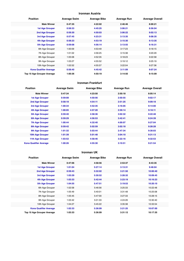#### **Ironman Austria**

| <b>Position</b>               | <b>Average Swim</b> | <b>Average Bike</b> | <b>Average Run</b> | <b>Average Overall</b> |
|-------------------------------|---------------------|---------------------|--------------------|------------------------|
| <b>Male Winner</b>            | 0:47:35             | 4:22:02             | 2:46:46            | 8:00:21                |
| <b>1st Age Grouper</b>        | 0:58:33             | 4:45:25             | 3:06:21            | 8:56:04                |
| 2nd Age Grouper               | 0:59:30             | 4:50:03             | 3:06:22            | 9:02:13                |
| 3rd Age Grouper               | 0:57:45             | 4:23:31             | 3:13:35            | 9:08:35                |
| 4th Age Grouper               | 0:58:23             | 4:53:19             | 3:15:30            | 9:13:35                |
| 5th Age Grouper               | 0:59:08             | 4:56:14             | 3:13:55            | 9:16:31                |
| 6th Age Grouper               | 1:00:09             | 4:53:49             | 3:17:23            | 9:18:15                |
| 7th Age Grouper               | 1:01:02             | 4:56:25             | 3:15:38            | 9:20:29                |
| 8th Age Grouper               | 1:05:08             | 4:52:35             | 3:18:23            | 9:22:58                |
| 9th Age Grouper               | 1:03:27             | 4:55:52             | 3:19:12            | 9:25:19                |
| 10th Age Grouper              | 1:02:52             | 4:55:57             | 3:22:04            | 9:27:36                |
| <b>Kona Qualifier Average</b> | 0:58:40             | 4:45:42             | 3:11:09            | 9:07:24                |
| Top 10 Age Grouper Average    | 1:00:36             | 4:50:19             | 3:14:50            | 9:15:09                |

#### **Ironman Frankfurt**

| <b>Position</b>               | <b>Average Swim</b> | <b>Average Bike</b> | <b>Average Run</b> | <b>Average Overall</b> |
|-------------------------------|---------------------|---------------------|--------------------|------------------------|
| <b>Male Winner</b>            | 0:47:34             | 4:23:50             | 2:50:18            | 8:05:14                |
| <b>1st Age Grouper</b>        | 0:59:08             | 4:50:56             | 2:50:55            | 9:02:17                |
| <b>2nd Age Grouper</b>        | 0:58:18             | 4:54:11             | 2:51:25            | 9:09:18                |
| 3rd Age Grouper               | 1:00:34             | 4:52:35             | 3:16:05            | 9:14:00                |
| 4th Age Grouper               | 1:00:05             | 4:57:20             | 2:59:14            | 9:18:11                |
| 5th Age Grouper               | 0:59:40             | 4:58:36             | 3:02:32            | 9:22:48                |
| <b>6th Age Grouper</b>        | 0:59:29             | 4:56:53             | 3:42:41            | 9:24:39                |
| <b>7th Age Grouper</b>        | 1:00:44             | 4:32:40             | 4:00:07            | 9:27:04                |
| <b>8th Age Grouper</b>        | 0:59:42             | 5:02:59             | 3:02:18            | 9:28:28                |
| 9th Age Grouper               | 1:01:32             | 5:03:44             | 2:47:34            | 9:30:03                |
| 10th Age Grouper              | 1:01:39             | 5:01:48             | 3:04:10            | 9:31:13                |
| 11th Age Grouper              | 1:03:52             | 4:58:46             | 3:22:16            | 9:32:53                |
| <b>Kona Qualifier Average</b> | 1:00:26             | 4:55:30             | 3:10:51            | 9:21:54                |

#### **Ironman UK**

| <b>Position</b>               | <b>Average Swim</b> | <b>Average Bike</b> | <b>Average Run</b> | <b>Average Overall</b> |
|-------------------------------|---------------------|---------------------|--------------------|------------------------|
| <b>Male Winner</b>            | 0:47:06             | 4:58:56             | 2:53:37            | 8:43:35                |
| <b>1st Age Grouper</b>        | 1:01:04             | 5:27:14             | 3:13:31            | 9:48:04                |
| <b>2nd Age Grouper</b>        | 0:59:43             | 5:32:02             | 3:21:50            | 10:00:40               |
| 3rd Age Grouper               | 1:03:29             | 5:30:52             | 3:28:32            | 10:09:45               |
| 4th Age Grouper               | 1:03:33             | 5:42:44             | 3:23:19            | 10:16:23               |
| 5th Age Grouper               | 1:04:55             | 5:47:51             | 3:19:53            | 10:20:10               |
| 6th Age Grouper               | 1:02:58             | 5:46:56             | 3:25:33            | 10:22:48               |
| 7th Age Grouper               | 1:05:49             | 5:40:01             | 3:31:48            | 10:25:08               |
| 8th Age Grouper               | 1:05:45             | 5:47:00             | 3:27:33            | 10:28:15               |
| 9th Age Grouper               | 1:03:42             | 5:01:33             | 4:24:26            | 10:30:40               |
| 10th Age Grouper              | 1:04:27             | 5:45:22             | 3:35:38            | 10:33:54               |
| <b>Kona Qualifier Average</b> | 1:02:33             | 5:36:09             | 3:21:25            | 10:07:00               |
| Top 10 Age Grouper Average    | 1:03:33             | 5:36:09             | 3:31:12            | 10:17:35               |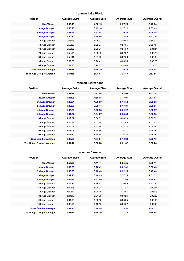#### **Ironman Lake Placid**

| <b>Position</b>               | <b>Average Swim</b> | <b>Average Bike</b> | <b>Average Run</b> | <b>Average Overall</b> |
|-------------------------------|---------------------|---------------------|--------------------|------------------------|
| <b>Male Winner</b>            | 0:50:43             | 4:50:15             | 2:57:23            | 8:43:34                |
| <b>1st Age Grouper</b>        | 0:56:48             | 5:12:18             | 3:17:22            | 9:35:43                |
| <b>2nd Age Grouper</b>        | 0:57:56             | 5:17:44             | 3:20:32            | 9:46:05                |
| 3rd Age Grouper               | 1:00:10             | 5:18:56             | 3:23:48            | 9:52:26                |
| 4th Age Grouper               | 0:58:28             | 5:25:31             | 3:20:55            | 9:55:37                |
| 5th Age Grouper               | 0:58:33             | 5:22:37             | 3:27:55            | 9:58:43                |
| 6th Age Grouper               | 0:56:26             | 5:29:31             | 3:25:39            | 10:01:44               |
| 7th Age Grouper               | 0:56:14             | 5:29:43             | 3:27:27            | 10:03:25               |
| 8th Age Grouper               | 0:59:41             | 5:27:20             | 3:27:56            | 10:05:39               |
| 9th Age Grouper               | 0:57:39             | 5:26:41             | 3:33:55            | 10:08:23               |
| 10th Age Grouper              | 0:57:16             | 5:29:47             | 3:34:00            | 10:11:26               |
| <b>Kona Qualifier Average</b> | 0:58:18             | 5:16:19             | 3:20:34            | 9:44:44                |
| Top 10 Age Grouper Average    | 0:57:55             | 5:24:01             | 3:25:57            | 9:57:55                |

#### **Ironman Switzerland**

| <b>Position</b>               | <b>Average Swim</b> | <b>Average Bike</b> | <b>Average Run</b> | <b>Average Overall</b> |
|-------------------------------|---------------------|---------------------|--------------------|------------------------|
| <b>Male Winner</b>            | 0:53:56             | 4:32:06             | 2:53:03            | 8:21:35                |
| <b>1st Age Grouper</b>        | 1:04:05             | 4:59:08             | 3:13:01            | 9:21:01                |
| 2nd Age Grouper               | 1:00:34             | 4:38:00             | 3:16:54            | 9:25:28                |
| 3rd Age Grouper               | 1:05:28             | 5:02:47             | 3:17:01            | 9:29:51                |
| 4th Age Grouper               | 1:03:33             | 5:02:38             | 3:22:22            | 9:32:57                |
| <b>5th Age Grouper</b>        | 1:04:37             | 5:04:27             | 3:23:09            | 9:36:33                |
| 6th Age Grouper               | 1:02:37             | 5:06:51             | 3:24:50            | 9:38:59                |
| 7th Age Grouper               | 1:06:18             | 5:07:38             | 3:22:40            | 9:41:27                |
| 8th Age Grouper               | 1:06:02             | 5:11:19             | 3:22:24            | 9:44:14                |
| 9th Age Grouper               | 1:03:08             | 5:10:59             | 3:26:37            | 9:45:15                |
| 10th Age Grouper              | 1:05:30             | 5:10:58             | 3:26:25            | 9:48:16                |
| <b>Kona Qualifier Average</b> | 1:03:39             | 4:57:24             | 3:18:29            | 9:29:10                |
| Top 10 Age Grouper Average    | 1:04:11             | 5:03:28             | 3:21:32            | 9:36:24                |

#### **Ironman Canada**

| <b>Position</b>               | <b>Average Swim</b> | <b>Average Bike</b> | <b>Average Run</b> | <b>Average Overall</b> |
|-------------------------------|---------------------|---------------------|--------------------|------------------------|
| <b>Male Winner</b>            | 0:52:06             | 4:41:41             | 2:55:55            | 8:33:11                |
| <b>1st Age Grouper</b>        | 1:02:26             | 5:20:42             | 3:02:31            | 9:33:43                |
| 2nd Age Grouper               | 1:00:55             | 5:16:40             | 3:22:25            | 9:45:43                |
| 3rd Age Grouper               | 1:01:25             | 5:16:49             | 3:27:13            | 9:51:52                |
| 4th Age Grouper               | 1:04:45             | 5:21:00             | 3:21:59            | 9:54:52                |
| 5th Age Grouper               | 1:04:32             | 5:15:52             | 3:30:46            | 9:57:04                |
| 6th Age Grouper               | 1:02:26             | 5:20:24             | 3:31:25            | 10:00:27               |
| 7th Age Grouper               | 1:02:14             | 5:20:19             | 3:33:57            | 10:03:13               |
| 8th Age Grouper               | 1:04:13             | 5:21:09             | 3:33:24            | 10:05:32               |
| 9th Age Grouper               | 1:04:05             | 5:22:18             | 3:33:35            | 10:07:05               |
| 10th Age Grouper              | 1:05:14             | 5:18:10             | 3:39:22            | 10:09:43               |
| <b>Kona Qualifier Average</b> | 1:02:23             | 5:18:48             | 3:18:32            | 9:46:32                |
| Top 10 Age Grouper Average    | 1:03:13             | 5:19:20             | 3:27:40            | 9:56:55                |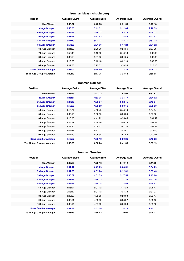#### **Ironman Maastricht-Limburg**

| <b>Position</b>               | <b>Average Swim</b> | <b>Average Bike</b> | <b>Average Run</b> | <b>Average Overall</b> |
|-------------------------------|---------------------|---------------------|--------------------|------------------------|
| <b>Male Winner</b>            | 0:46:22             | 4:43:33             | 2:51:59            | 8:27:18                |
| <b>1st Age Grouper</b>        | 0:56:53             | 5:11:31             | 3:12:04            | 9:28:53                |
| 2nd Age Grouper               | 0:56:46             | 4:56:37             | 3:43:19            | 9:45:12                |
| 3rd Age Grouper               | 1:01:58             | 5:12:03             | 3:24:49            | 9:47:02                |
| 4th Age Grouper               | 0:57:10             | 5:22:21             | 3:25:11            | 9:51:22                |
| <b>5th Age Grouper</b>        | 0:57:35             | 5:31:36             | 3:17:23            | 9:54:22                |
| 6th Age Grouper               | 1:01:00             | 5:20:36             | 3:26:36            | 9:57:06                |
| 7th Age Grouper               | 0:58:45             | 5:15:53             | 3:43:18            | 10:05:09               |
| 8th Age Grouper               | 1:00:56             | 5:21:05             | 3:34:55            | 10:05:38               |
| 9th Age Grouper               | 1:12:39             | 5:18:18             | 3:22:14            | 10:07:53               |
| 10th Age Grouper              | 1:02:58             | 5:25:52             | 3:38:55            | 10:18:16               |
| <b>Kona Qualifier Average</b> | 0:58:04             | 5:14:49             | 3:24:33            | 9:45:22                |
| Top 10 Age Grouper Average    | 1:00:40             | 5:17:35             | 3:28:52            | 9:56:05                |

#### **Ironman Boulder**

| <b>Position</b>               | <b>Average Swim</b> | <b>Average Bike</b> | <b>Average Run</b> | <b>Average Overall</b> |
|-------------------------------|---------------------|---------------------|--------------------|------------------------|
| <b>Male Winner</b>            | 0:55:43             | 4:27:22             | 3:03:06            | 8:32:53                |
| <b>1st Age Grouper</b>        | 1:06:51             | 4:52:25             | 3:25:17            | 9:34:02                |
| 2nd Age Grouper               | 1:07:40             | 4:53:37             | 3:32:45            | 9:43:34                |
| 3rd Age Grouper               | 1:18:22             | 4:53:29             | 3:30:16            | 9:52:30                |
| 4th Age Grouper               | 1:12:27             | 4:50:45             | 3:43:10            | 9:54:24                |
| 5th Age Grouper               | 1:09:15             | 5:00:55             | 3:36:39            | 9:57:00                |
| 6th Age Grouper               | 1:13:36             | 4:41:29             | 3:55:45            | 10:01:49               |
| 7th Age Grouper               | 1:05:57             | 4:58:30             | 3:50:19            | 10:04:28               |
| 8th Age Grouper               | 1:09:20             | 5:09:43             | 3:41:20            | 10:09:58               |
| 9th Age Grouper               | 1:04:31             | 5:17:27             | 3:43:57            | 10:16:19               |
| 10th Age Grouper              | 1:11:50             | 5:05:38             | 3:51:52            | 10:19:11               |
| <b>Kona Qualifier Average</b> | 1:10:57             | 4:53:10             | 3:29:26            | 9:43:22                |
| Top 10 Age Grouper Average    | 1:09:59             | 4:58:24             | 3:41:08            | 9:59:19                |

#### **Ironman Sweden**

| <b>Position</b>               | <b>Average Swim</b> | <b>Average Bike</b> | <b>Average Run</b> | <b>Average Overall</b> |
|-------------------------------|---------------------|---------------------|--------------------|------------------------|
| <b>Male Winner</b>            | 0:49:39             | 4:29:16             | 2:49:12            | 8:11:09                |
| 1st Age Grouper               | 1:01:12             | 4:49:29             | 3:08:51            | 9:04:29                |
| 2nd Age Grouper               | 1:01:59             | 4:51:04             | 3:12:01            | 9:09:46                |
| 3rd Age Grouper               | 1:00:07             | 4:51:59             | 3:17:55            | 9:15:00                |
| 4th Age Grouper               | 1:03:29             | 4:56:12             | 3:17:33            | 9:22:26                |
| 5th Age Grouper               | 1:05:55             | 4:58:38             | 3:14:59            | 9:24:43                |
| 6th Age Grouper               | 1:05:27             | 5:01:12             | 3:17:23            | 9:28:47                |
| 7th Age Grouper               | 0:58:32             | 5:01:12             | 3:25:32            | 9:31:07                |
| 8th Age Grouper               | 1:05:29             | 4:59:53             | 3:23:03            | 9:33:47                |
| 9th Age Grouper               | 1:03:51             | 4:53:09             | 3:33:22            | 9:36:15                |
| 10th Age Grouper              | 1:06:14             | 4:57:29             | 3:29:28            | 9:39:50                |
| <b>Kona Qualifier Average</b> | 1:02:32             | 4:53:28             | 3:14:16            | 9:15:17                |
| Top 10 Age Grouper Average    | 1:03:13             | 4:56:02             | 3:20:00            | 9:24:37                |